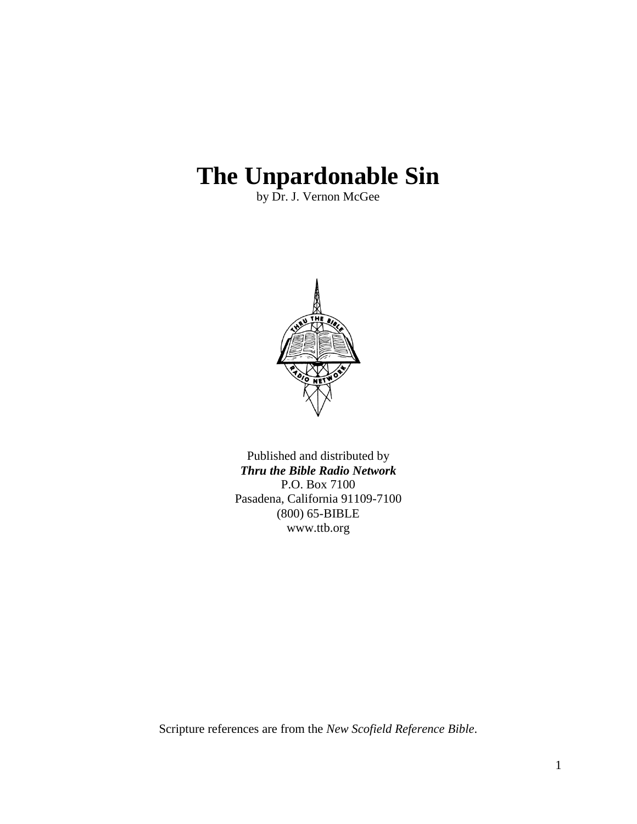# **The Unpardonable Sin**

by Dr. J. Vernon McGee



Published and distributed by *Thru the Bible Radio Network* P.O. Box 7100 Pasadena, California 91109-7100 (800) 65-BIBLE www.ttb.org

Scripture references are from the *New Scofield Reference Bible*.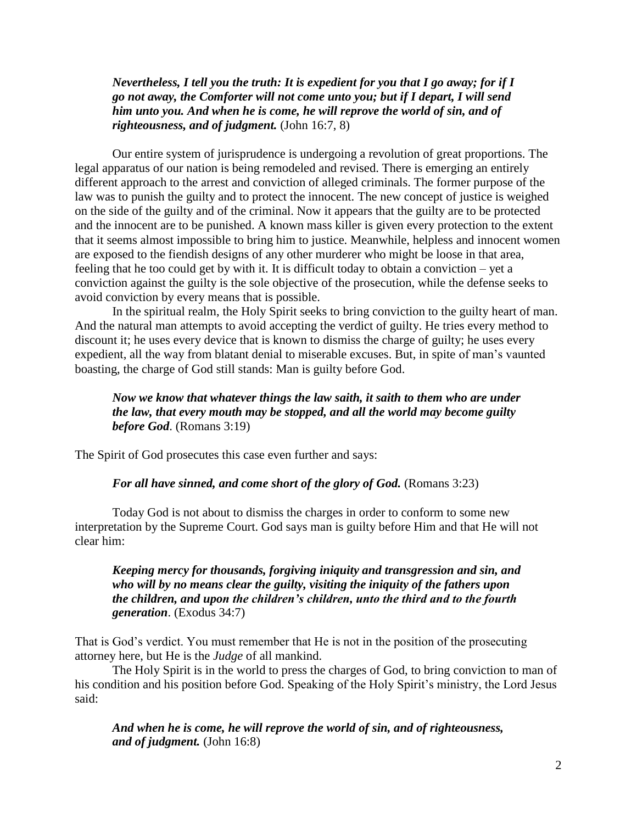*Nevertheless, I tell you the truth: It is expedient for you that I go away; for if I go not away, the Comforter will not come unto you; but if I depart, I will send him unto you. And when he is come, he will reprove the world of sin, and of righteousness, and of judgment.* (John 16:7, 8)

Our entire system of jurisprudence is undergoing a revolution of great proportions. The legal apparatus of our nation is being remodeled and revised. There is emerging an entirely different approach to the arrest and conviction of alleged criminals. The former purpose of the law was to punish the guilty and to protect the innocent. The new concept of justice is weighed on the side of the guilty and of the criminal. Now it appears that the guilty are to be protected and the innocent are to be punished. A known mass killer is given every protection to the extent that it seems almost impossible to bring him to justice. Meanwhile, helpless and innocent women are exposed to the fiendish designs of any other murderer who might be loose in that area, feeling that he too could get by with it. It is difficult today to obtain a conviction – yet a conviction against the guilty is the sole objective of the prosecution, while the defense seeks to avoid conviction by every means that is possible.

In the spiritual realm, the Holy Spirit seeks to bring conviction to the guilty heart of man. And the natural man attempts to avoid accepting the verdict of guilty. He tries every method to discount it; he uses every device that is known to dismiss the charge of guilty; he uses every expedient, all the way from blatant denial to miserable excuses. But, in spite of man"s vaunted boasting, the charge of God still stands: Man is guilty before God.

# *Now we know that whatever things the law saith, it saith to them who are under the law, that every mouth may be stopped, and all the world may become guilty before God*. (Romans 3:19)

The Spirit of God prosecutes this case even further and says:

#### *For all have sinned, and come short of the glory of God.* (Romans 3:23)

Today God is not about to dismiss the charges in order to conform to some new interpretation by the Supreme Court. God says man is guilty before Him and that He will not clear him:

*Keeping mercy for thousands, forgiving iniquity and transgression and sin, and who will by no means clear the guilty, visiting the iniquity of the fathers upon the children, and upon the children's children, unto the third and to the fourth generation*. (Exodus 34:7)

That is God"s verdict. You must remember that He is not in the position of the prosecuting attorney here, but He is the *Judge* of all mankind.

The Holy Spirit is in the world to press the charges of God, to bring conviction to man of his condition and his position before God. Speaking of the Holy Spirit's ministry, the Lord Jesus said:

*And when he is come, he will reprove the world of sin, and of righteousness, and of judgment.* (John 16:8)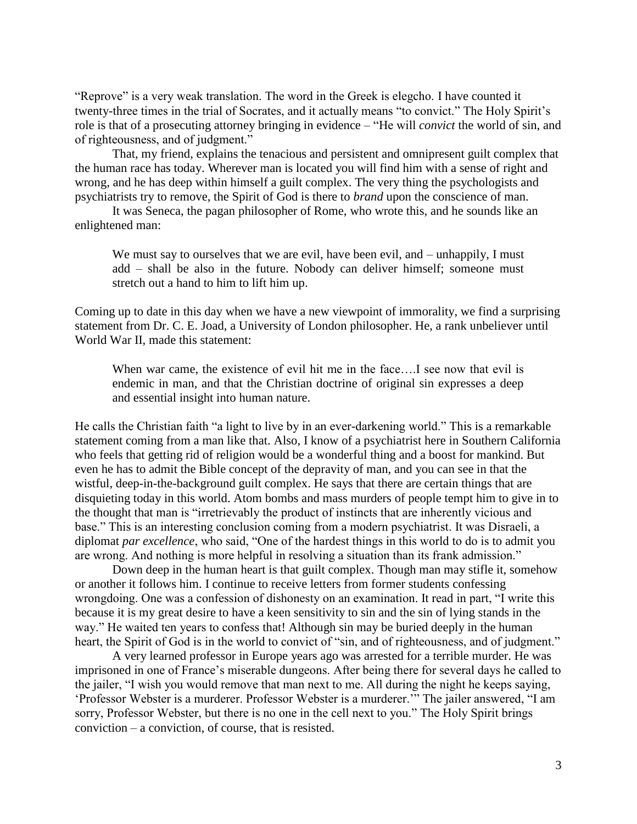"Reprove" is a very weak translation. The word in the Greek is elegcho. I have counted it twenty-three times in the trial of Socrates, and it actually means "to convict." The Holy Spirit's role is that of a prosecuting attorney bringing in evidence – "He will *convict* the world of sin, and of righteousness, and of judgment."

That, my friend, explains the tenacious and persistent and omnipresent guilt complex that the human race has today. Wherever man is located you will find him with a sense of right and wrong, and he has deep within himself a guilt complex. The very thing the psychologists and psychiatrists try to remove, the Spirit of God is there to *brand* upon the conscience of man.

It was Seneca, the pagan philosopher of Rome, who wrote this, and he sounds like an enlightened man:

We must say to ourselves that we are evil, have been evil, and – unhappily, I must add – shall be also in the future. Nobody can deliver himself; someone must stretch out a hand to him to lift him up.

Coming up to date in this day when we have a new viewpoint of immorality, we find a surprising statement from Dr. C. E. Joad, a University of London philosopher. He, a rank unbeliever until World War II, made this statement:

When war came, the existence of evil hit me in the face....I see now that evil is endemic in man, and that the Christian doctrine of original sin expresses a deep and essential insight into human nature.

He calls the Christian faith "a light to live by in an ever-darkening world." This is a remarkable statement coming from a man like that. Also, I know of a psychiatrist here in Southern California who feels that getting rid of religion would be a wonderful thing and a boost for mankind. But even he has to admit the Bible concept of the depravity of man, and you can see in that the wistful, deep-in-the-background guilt complex. He says that there are certain things that are disquieting today in this world. Atom bombs and mass murders of people tempt him to give in to the thought that man is "irretrievably the product of instincts that are inherently vicious and base." This is an interesting conclusion coming from a modern psychiatrist. It was Disraeli, a diplomat *par excellence*, who said, "One of the hardest things in this world to do is to admit you are wrong. And nothing is more helpful in resolving a situation than its frank admission."

Down deep in the human heart is that guilt complex. Though man may stifle it, somehow or another it follows him. I continue to receive letters from former students confessing wrongdoing. One was a confession of dishonesty on an examination. It read in part, "I write this because it is my great desire to have a keen sensitivity to sin and the sin of lying stands in the way." He waited ten years to confess that! Although sin may be buried deeply in the human heart, the Spirit of God is in the world to convict of "sin, and of righteousness, and of judgment."

A very learned professor in Europe years ago was arrested for a terrible murder. He was imprisoned in one of France's miserable dungeons. After being there for several days he called to the jailer, "I wish you would remove that man next to me. All during the night he keeps saying, "Professor Webster is a murderer. Professor Webster is a murderer."" The jailer answered, "I am sorry, Professor Webster, but there is no one in the cell next to you." The Holy Spirit brings conviction – a conviction, of course, that is resisted.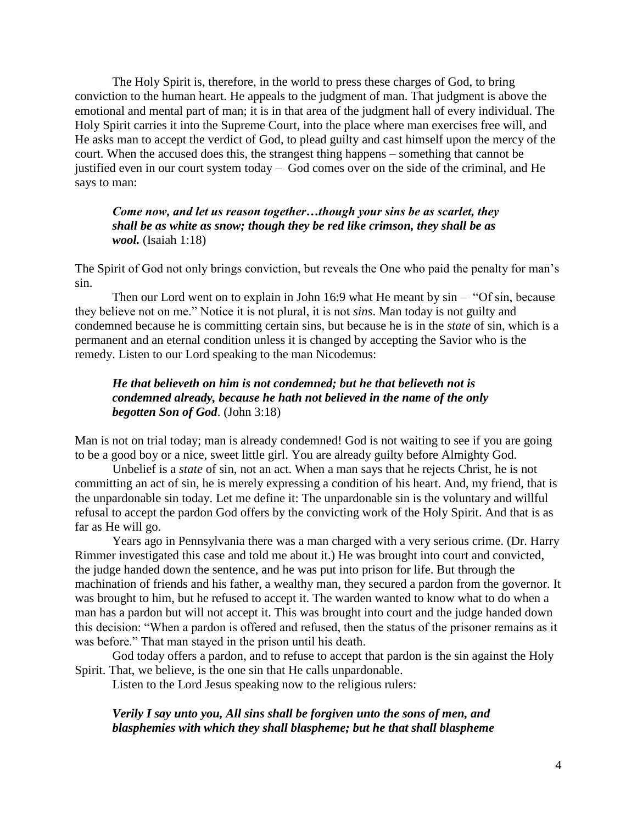The Holy Spirit is, therefore, in the world to press these charges of God, to bring conviction to the human heart. He appeals to the judgment of man. That judgment is above the emotional and mental part of man; it is in that area of the judgment hall of every individual. The Holy Spirit carries it into the Supreme Court, into the place where man exercises free will, and He asks man to accept the verdict of God, to plead guilty and cast himself upon the mercy of the court. When the accused does this, the strangest thing happens – something that cannot be justified even in our court system today – God comes over on the side of the criminal, and He says to man:

# *Come now, and let us reason together…though your sins be as scarlet, they shall be as white as snow; though they be red like crimson, they shall be as wool.* (Isaiah 1:18)

The Spirit of God not only brings conviction, but reveals the One who paid the penalty for man"s sin.

Then our Lord went on to explain in John 16:9 what He meant by sin – "Of sin, because they believe not on me." Notice it is not plural, it is not *sins*. Man today is not guilty and condemned because he is committing certain sins, but because he is in the *state* of sin, which is a permanent and an eternal condition unless it is changed by accepting the Savior who is the remedy. Listen to our Lord speaking to the man Nicodemus:

# *He that believeth on him is not condemned; but he that believeth not is condemned already, because he hath not believed in the name of the only begotten Son of God*. (John 3:18)

Man is not on trial today; man is already condemned! God is not waiting to see if you are going to be a good boy or a nice, sweet little girl. You are already guilty before Almighty God.

Unbelief is a *state* of sin, not an act. When a man says that he rejects Christ, he is not committing an act of sin, he is merely expressing a condition of his heart. And, my friend, that is the unpardonable sin today. Let me define it: The unpardonable sin is the voluntary and willful refusal to accept the pardon God offers by the convicting work of the Holy Spirit. And that is as far as He will go.

Years ago in Pennsylvania there was a man charged with a very serious crime. (Dr. Harry Rimmer investigated this case and told me about it.) He was brought into court and convicted, the judge handed down the sentence, and he was put into prison for life. But through the machination of friends and his father, a wealthy man, they secured a pardon from the governor. It was brought to him, but he refused to accept it. The warden wanted to know what to do when a man has a pardon but will not accept it. This was brought into court and the judge handed down this decision: "When a pardon is offered and refused, then the status of the prisoner remains as it was before." That man stayed in the prison until his death.

God today offers a pardon, and to refuse to accept that pardon is the sin against the Holy Spirit. That, we believe, is the one sin that He calls unpardonable.

Listen to the Lord Jesus speaking now to the religious rulers:

#### *Verily I say unto you, All sins shall be forgiven unto the sons of men, and blasphemies with which they shall blaspheme; but he that shall blaspheme*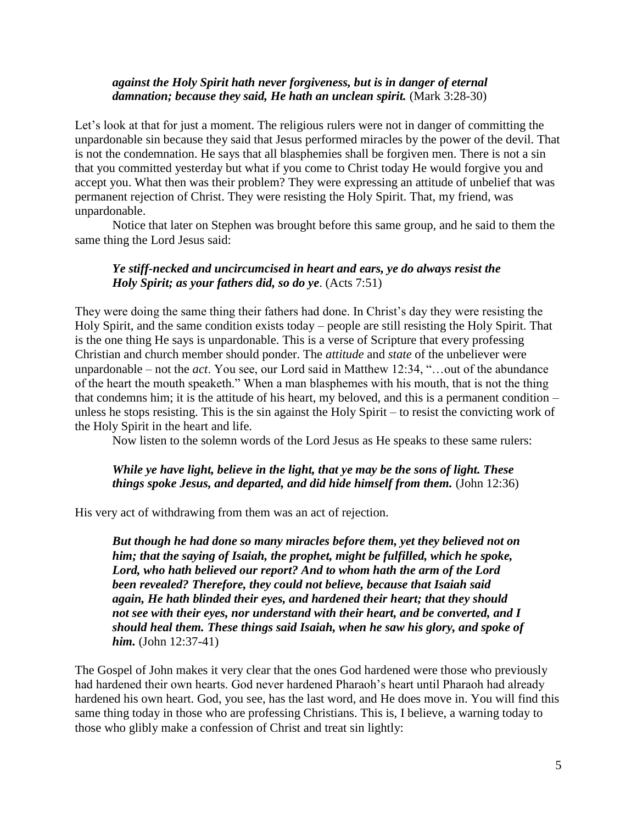## *against the Holy Spirit hath never forgiveness, but is in danger of eternal damnation; because they said, He hath an unclean spirit.* (Mark 3:28-30)

Let's look at that for just a moment. The religious rulers were not in danger of committing the unpardonable sin because they said that Jesus performed miracles by the power of the devil. That is not the condemnation. He says that all blasphemies shall be forgiven men. There is not a sin that you committed yesterday but what if you come to Christ today He would forgive you and accept you. What then was their problem? They were expressing an attitude of unbelief that was permanent rejection of Christ. They were resisting the Holy Spirit. That, my friend, was unpardonable.

Notice that later on Stephen was brought before this same group, and he said to them the same thing the Lord Jesus said:

#### *Ye stiff-necked and uncircumcised in heart and ears, ye do always resist the Holy Spirit; as your fathers did, so do ye*. (Acts 7:51)

They were doing the same thing their fathers had done. In Christ's day they were resisting the Holy Spirit, and the same condition exists today – people are still resisting the Holy Spirit. That is the one thing He says is unpardonable. This is a verse of Scripture that every professing Christian and church member should ponder. The *attitude* and *state* of the unbeliever were unpardonable – not the *act*. You see, our Lord said in Matthew 12:34, "…out of the abundance of the heart the mouth speaketh." When a man blasphemes with his mouth, that is not the thing that condemns him; it is the attitude of his heart, my beloved, and this is a permanent condition – unless he stops resisting. This is the sin against the Holy Spirit – to resist the convicting work of the Holy Spirit in the heart and life.

Now listen to the solemn words of the Lord Jesus as He speaks to these same rulers:

#### *While ye have light, believe in the light, that ye may be the sons of light. These things spoke Jesus, and departed, and did hide himself from them.* (John 12:36)

His very act of withdrawing from them was an act of rejection.

*But though he had done so many miracles before them, yet they believed not on him; that the saying of Isaiah, the prophet, might be fulfilled, which he spoke, Lord, who hath believed our report? And to whom hath the arm of the Lord been revealed? Therefore, they could not believe, because that Isaiah said again, He hath blinded their eyes, and hardened their heart; that they should not see with their eyes, nor understand with their heart, and be converted, and I should heal them. These things said Isaiah, when he saw his glory, and spoke of him.* (John 12:37-41)

The Gospel of John makes it very clear that the ones God hardened were those who previously had hardened their own hearts. God never hardened Pharaoh"s heart until Pharaoh had already hardened his own heart. God, you see, has the last word, and He does move in. You will find this same thing today in those who are professing Christians. This is, I believe, a warning today to those who glibly make a confession of Christ and treat sin lightly: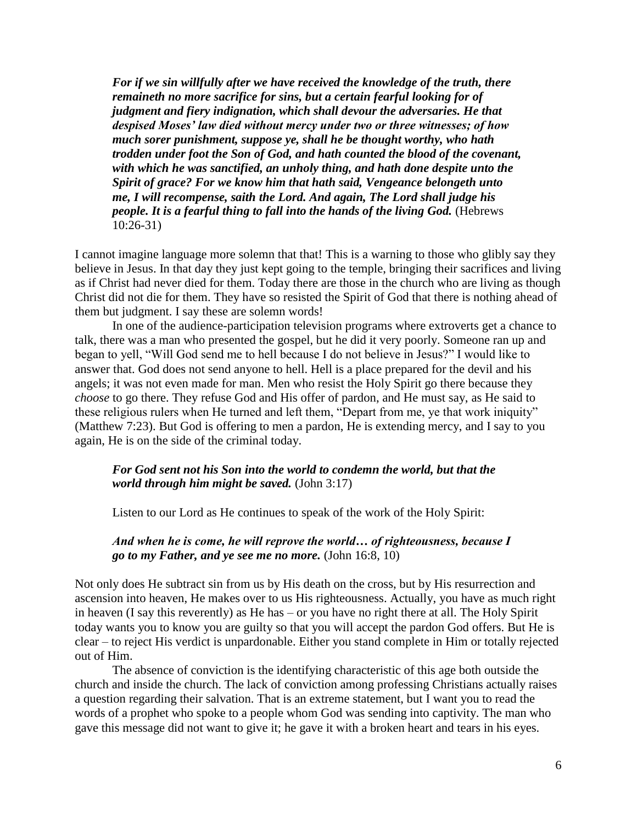*For if we sin willfully after we have received the knowledge of the truth, there remaineth no more sacrifice for sins, but a certain fearful looking for of judgment and fiery indignation, which shall devour the adversaries. He that despised Moses' law died without mercy under two or three witnesses; of how much sorer punishment, suppose ye, shall he be thought worthy, who hath trodden under foot the Son of God, and hath counted the blood of the covenant, with which he was sanctified, an unholy thing, and hath done despite unto the Spirit of grace? For we know him that hath said, Vengeance belongeth unto me, I will recompense, saith the Lord. And again, The Lord shall judge his people. It is a fearful thing to fall into the hands of the living God.* (Hebrews 10:26-31)

I cannot imagine language more solemn that that! This is a warning to those who glibly say they believe in Jesus. In that day they just kept going to the temple, bringing their sacrifices and living as if Christ had never died for them. Today there are those in the church who are living as though Christ did not die for them. They have so resisted the Spirit of God that there is nothing ahead of them but judgment. I say these are solemn words!

In one of the audience-participation television programs where extroverts get a chance to talk, there was a man who presented the gospel, but he did it very poorly. Someone ran up and began to yell, "Will God send me to hell because I do not believe in Jesus?" I would like to answer that. God does not send anyone to hell. Hell is a place prepared for the devil and his angels; it was not even made for man. Men who resist the Holy Spirit go there because they *choose* to go there. They refuse God and His offer of pardon, and He must say, as He said to these religious rulers when He turned and left them, "Depart from me, ye that work iniquity" (Matthew 7:23). But God is offering to men a pardon, He is extending mercy, and I say to you again, He is on the side of the criminal today.

#### *For God sent not his Son into the world to condemn the world, but that the world through him might be saved.* (John 3:17)

Listen to our Lord as He continues to speak of the work of the Holy Spirit:

*And when he is come, he will reprove the world… of righteousness, because I go to my Father, and ye see me no more.* (John 16:8, 10)

Not only does He subtract sin from us by His death on the cross, but by His resurrection and ascension into heaven, He makes over to us His righteousness. Actually, you have as much right in heaven (I say this reverently) as He has – or you have no right there at all. The Holy Spirit today wants you to know you are guilty so that you will accept the pardon God offers. But He is clear – to reject His verdict is unpardonable. Either you stand complete in Him or totally rejected out of Him.

The absence of conviction is the identifying characteristic of this age both outside the church and inside the church. The lack of conviction among professing Christians actually raises a question regarding their salvation. That is an extreme statement, but I want you to read the words of a prophet who spoke to a people whom God was sending into captivity. The man who gave this message did not want to give it; he gave it with a broken heart and tears in his eyes.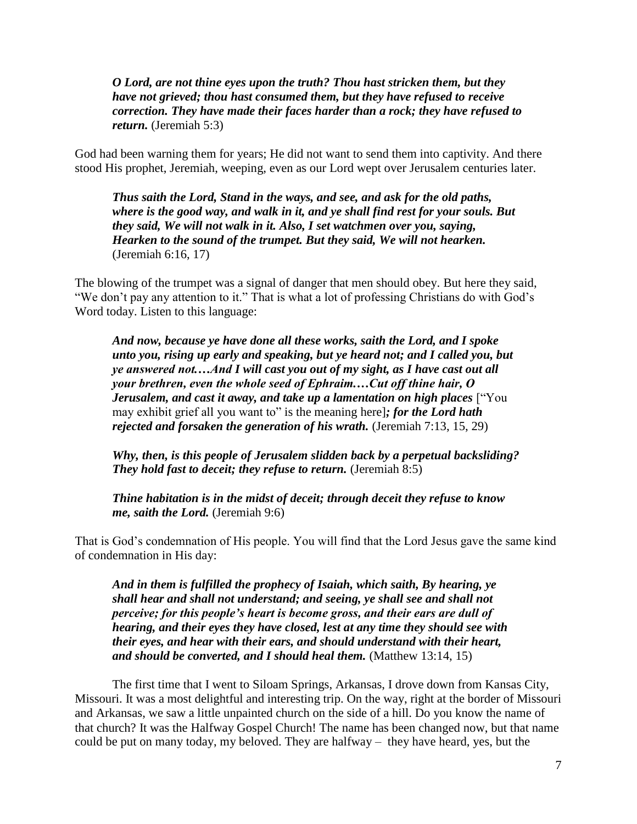*O Lord, are not thine eyes upon the truth? Thou hast stricken them, but they have not grieved; thou hast consumed them, but they have refused to receive correction. They have made their faces harder than a rock; they have refused to return.* (Jeremiah 5:3)

God had been warning them for years; He did not want to send them into captivity. And there stood His prophet, Jeremiah, weeping, even as our Lord wept over Jerusalem centuries later.

*Thus saith the Lord, Stand in the ways, and see, and ask for the old paths, where is the good way, and walk in it, and ye shall find rest for your souls. But they said, We will not walk in it. Also, I set watchmen over you, saying, Hearken to the sound of the trumpet. But they said, We will not hearken.* (Jeremiah 6:16, 17)

The blowing of the trumpet was a signal of danger that men should obey. But here they said, "We don"t pay any attention to it." That is what a lot of professing Christians do with God"s Word today. Listen to this language:

*And now, because ye have done all these works, saith the Lord, and I spoke unto you, rising up early and speaking, but ye heard not; and I called you, but ye answered not.…And I will cast you out of my sight, as I have cast out all your brethren, even the whole seed of Ephraim.…Cut off thine hair, O Jerusalem, and cast it away, and take up a lamentation on high places* ["You may exhibit grief all you want to" is the meaning here]*; for the Lord hath rejected and forsaken the generation of his wrath.* (Jeremiah 7:13, 15, 29)

*Why, then, is this people of Jerusalem slidden back by a perpetual backsliding? They hold fast to deceit; they refuse to return.* (Jeremiah 8:5)

*Thine habitation is in the midst of deceit; through deceit they refuse to know me, saith the Lord.* (Jeremiah 9:6)

That is God"s condemnation of His people. You will find that the Lord Jesus gave the same kind of condemnation in His day:

*And in them is fulfilled the prophecy of Isaiah, which saith, By hearing, ye shall hear and shall not understand; and seeing, ye shall see and shall not perceive; for this people's heart is become gross, and their ears are dull of hearing, and their eyes they have closed, lest at any time they should see with their eyes, and hear with their ears, and should understand with their heart, and should be converted, and I should heal them.* (Matthew 13:14, 15)

The first time that I went to Siloam Springs, Arkansas, I drove down from Kansas City, Missouri. It was a most delightful and interesting trip. On the way, right at the border of Missouri and Arkansas, we saw a little unpainted church on the side of a hill. Do you know the name of that church? It was the Halfway Gospel Church! The name has been changed now, but that name could be put on many today, my beloved. They are halfway – they have heard, yes, but the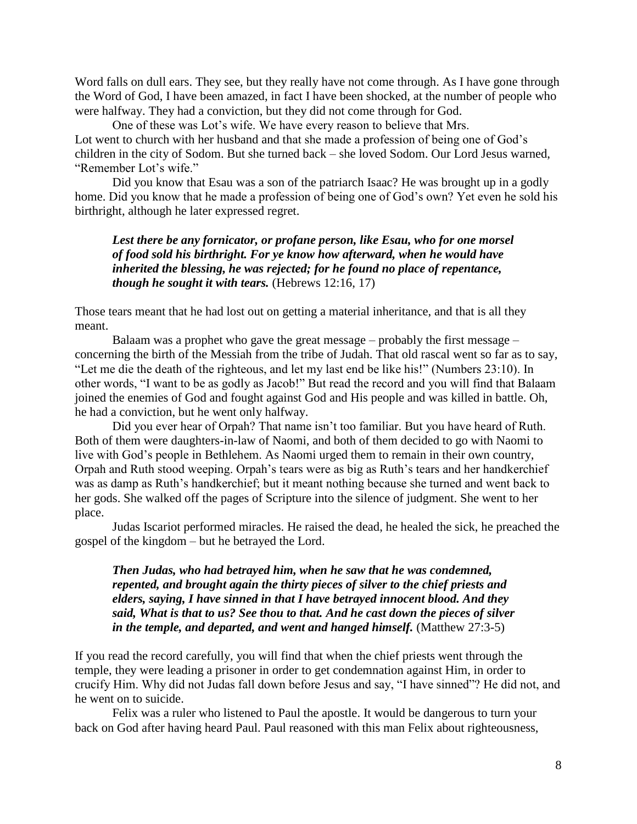Word falls on dull ears. They see, but they really have not come through. As I have gone through the Word of God, I have been amazed, in fact I have been shocked, at the number of people who were halfway. They had a conviction, but they did not come through for God.

One of these was Lot"s wife. We have every reason to believe that Mrs. Lot went to church with her husband and that she made a profession of being one of God's children in the city of Sodom. But she turned back – she loved Sodom. Our Lord Jesus warned, "Remember Lot"s wife."

Did you know that Esau was a son of the patriarch Isaac? He was brought up in a godly home. Did you know that he made a profession of being one of God"s own? Yet even he sold his birthright, although he later expressed regret.

*Lest there be any fornicator, or profane person, like Esau, who for one morsel of food sold his birthright. For ye know how afterward, when he would have inherited the blessing, he was rejected; for he found no place of repentance, though he sought it with tears.* (Hebrews 12:16, 17)

Those tears meant that he had lost out on getting a material inheritance, and that is all they meant.

Balaam was a prophet who gave the great message – probably the first message – concerning the birth of the Messiah from the tribe of Judah. That old rascal went so far as to say, "Let me die the death of the righteous, and let my last end be like his!" (Numbers 23:10). In other words, "I want to be as godly as Jacob!" But read the record and you will find that Balaam joined the enemies of God and fought against God and His people and was killed in battle. Oh, he had a conviction, but he went only halfway.

Did you ever hear of Orpah? That name isn't too familiar. But you have heard of Ruth. Both of them were daughters-in-law of Naomi, and both of them decided to go with Naomi to live with God"s people in Bethlehem. As Naomi urged them to remain in their own country, Orpah and Ruth stood weeping. Orpah"s tears were as big as Ruth"s tears and her handkerchief was as damp as Ruth's handkerchief; but it meant nothing because she turned and went back to her gods. She walked off the pages of Scripture into the silence of judgment. She went to her place.

Judas Iscariot performed miracles. He raised the dead, he healed the sick, he preached the gospel of the kingdom – but he betrayed the Lord.

*Then Judas, who had betrayed him, when he saw that he was condemned, repented, and brought again the thirty pieces of silver to the chief priests and elders, saying, I have sinned in that I have betrayed innocent blood. And they said, What is that to us? See thou to that. And he cast down the pieces of silver in the temple, and departed, and went and hanged himself.* (Matthew 27:3-5)

If you read the record carefully, you will find that when the chief priests went through the temple, they were leading a prisoner in order to get condemnation against Him, in order to crucify Him. Why did not Judas fall down before Jesus and say, "I have sinned"? He did not, and he went on to suicide.

Felix was a ruler who listened to Paul the apostle. It would be dangerous to turn your back on God after having heard Paul. Paul reasoned with this man Felix about righteousness,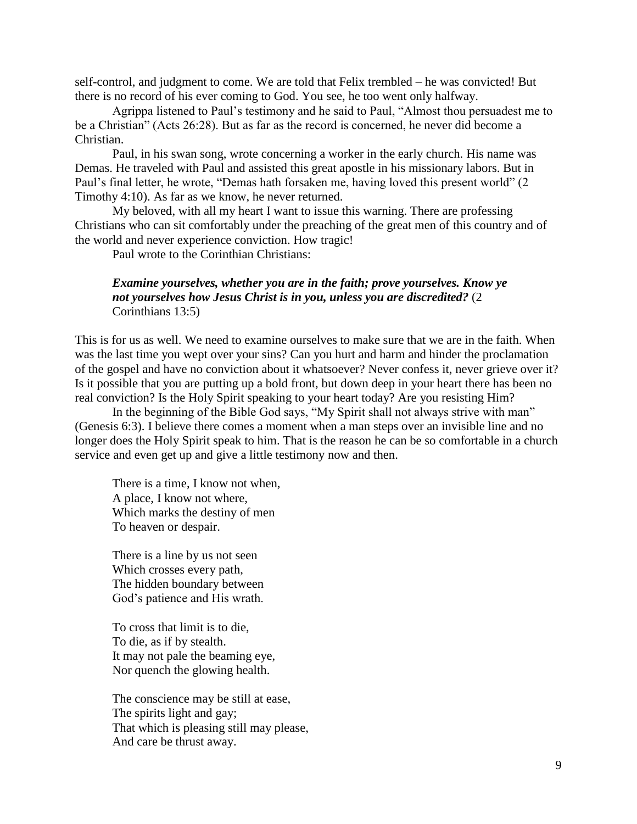self-control, and judgment to come. We are told that Felix trembled – he was convicted! But there is no record of his ever coming to God. You see, he too went only halfway.

Agrippa listened to Paul"s testimony and he said to Paul, "Almost thou persuadest me to be a Christian" (Acts 26:28). But as far as the record is concerned, he never did become a Christian.

Paul, in his swan song, wrote concerning a worker in the early church. His name was Demas. He traveled with Paul and assisted this great apostle in his missionary labors. But in Paul's final letter, he wrote, "Demas hath forsaken me, having loved this present world" (2) Timothy 4:10). As far as we know, he never returned.

My beloved, with all my heart I want to issue this warning. There are professing Christians who can sit comfortably under the preaching of the great men of this country and of the world and never experience conviction. How tragic!

Paul wrote to the Corinthian Christians:

## *Examine yourselves, whether you are in the faith; prove yourselves. Know ye not yourselves how Jesus Christ is in you, unless you are discredited?* (2 Corinthians 13:5)

This is for us as well. We need to examine ourselves to make sure that we are in the faith. When was the last time you wept over your sins? Can you hurt and harm and hinder the proclamation of the gospel and have no conviction about it whatsoever? Never confess it, never grieve over it? Is it possible that you are putting up a bold front, but down deep in your heart there has been no real conviction? Is the Holy Spirit speaking to your heart today? Are you resisting Him?

In the beginning of the Bible God says, "My Spirit shall not always strive with man" (Genesis 6:3). I believe there comes a moment when a man steps over an invisible line and no longer does the Holy Spirit speak to him. That is the reason he can be so comfortable in a church service and even get up and give a little testimony now and then.

There is a time, I know not when, A place, I know not where, Which marks the destiny of men To heaven or despair.

There is a line by us not seen Which crosses every path, The hidden boundary between God"s patience and His wrath.

To cross that limit is to die, To die, as if by stealth. It may not pale the beaming eye, Nor quench the glowing health.

The conscience may be still at ease, The spirits light and gay; That which is pleasing still may please, And care be thrust away.